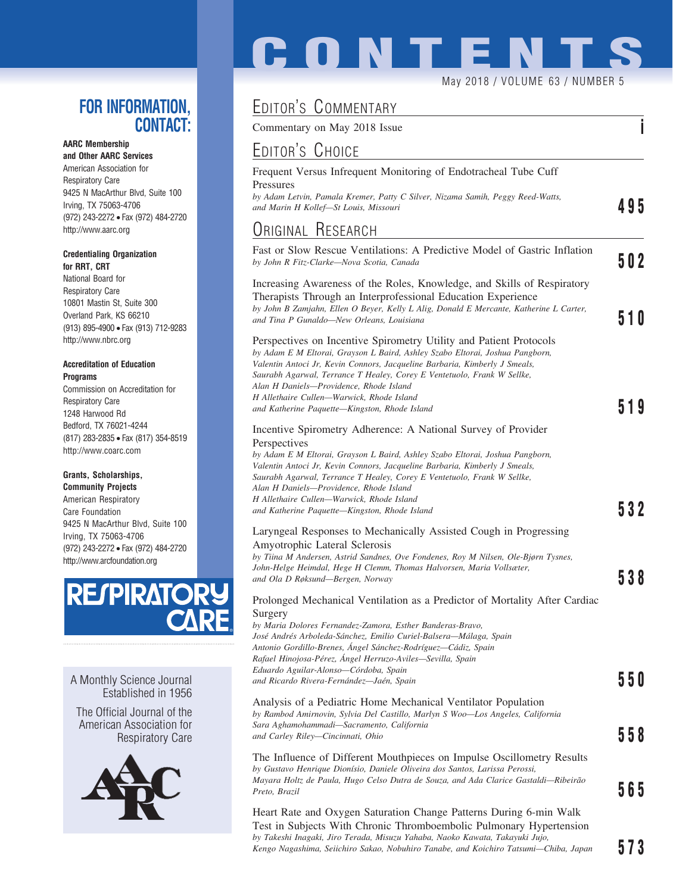### **FOR INFORMATION, CONTACT:**

**AARC Membership and Other AARC Services** American Association for Respiratory Care 9425 N MacArthur Blvd, Suite 100 Irving, TX 75063-4706 (972) 243-2272 • Fax (972) 484-2720 http://www.aarc.org

### **Credentialing Organization for RRT, CRT**

National Board for Respiratory Care 10801 Mastin St, Suite 300 Overland Park, KS 66210 (913) 895-4900 • Fax (913) 712-9283 http://www.nbrc.org

### **Accreditation of Education Programs**

Commission on Accreditation for Respiratory Care 1248 Harwood Rd Bedford, TX 76021-4244 (817) 283-2835 • Fax (817) 354-8519 http://www.coarc.com

### **Grants, Scholarships,**

**Community Projects** American Respiratory Care Foundation 9425 N MacArthur Blvd, Suite 100 Irving, TX 75063-4706 (972) 243-2272 • Fax (972) 484-2720 http://www.arcfoundation.org



A Monthly Science Journal Established in 1956

The Official Journal of the American Association for Respiratory Care



# **CONTENT**

May 2018 / VOLUME 63 / NUMBER 5

# EDITOR'S COMMENTARY

Commentary on May 2018 Issue **i**

## EDITOR'S CHOICE

| LUITUILU UITUIUL                                                                                                                                                                                                                                                                                                                                                                                               |     |
|----------------------------------------------------------------------------------------------------------------------------------------------------------------------------------------------------------------------------------------------------------------------------------------------------------------------------------------------------------------------------------------------------------------|-----|
| Frequent Versus Infrequent Monitoring of Endotracheal Tube Cuff<br>Pressures<br>by Adam Letvin, Pamala Kremer, Patty C Silver, Nizama Samih, Peggy Reed-Watts,<br>and Marin H Kollef—St Louis, Missouri                                                                                                                                                                                                        | 495 |
| ORIGINAL RESEARCH                                                                                                                                                                                                                                                                                                                                                                                              |     |
|                                                                                                                                                                                                                                                                                                                                                                                                                |     |
| Fast or Slow Rescue Ventilations: A Predictive Model of Gastric Inflation<br>by John R Fitz-Clarke—Nova Scotia, Canada                                                                                                                                                                                                                                                                                         | 502 |
| Increasing Awareness of the Roles, Knowledge, and Skills of Respiratory<br>Therapists Through an Interprofessional Education Experience<br>by John B Zamjahn, Ellen O Beyer, Kelly L Alig, Donald E Mercante, Katherine L Carter,<br>and Tina P Gunaldo—New Orleans, Louisiana                                                                                                                                 | 510 |
| Perspectives on Incentive Spirometry Utility and Patient Protocols<br>by Adam E M Eltorai, Grayson L Baird, Ashley Szabo Eltorai, Joshua Pangborn,<br>Valentin Antoci Jr, Kevin Connors, Jacqueline Barbaria, Kimberly J Smeals,<br>Saurabh Agarwal, Terrance T Healey, Corey E Ventetuolo, Frank W Sellke,<br>Alan H Daniels—Providence, Rhode Island                                                         |     |
| H Allethaire Cullen—Warwick, Rhode Island<br>and Katherine Paquette—Kingston, Rhode Island                                                                                                                                                                                                                                                                                                                     | 519 |
| Incentive Spirometry Adherence: A National Survey of Provider<br>Perspectives<br>by Adam E M Eltorai, Grayson L Baird, Ashley Szabo Eltorai, Joshua Pangborn,<br>Valentin Antoci Jr, Kevin Connors, Jacqueline Barbaria, Kimberly J Smeals,<br>Saurabh Agarwal, Terrance T Healey, Corey E Ventetuolo, Frank W Sellke,<br>Alan H Daniels—Providence, Rhode Island<br>H Allethaire Cullen—Warwick, Rhode Island |     |
| and Katherine Paquette—Kingston, Rhode Island                                                                                                                                                                                                                                                                                                                                                                  | 532 |
| Laryngeal Responses to Mechanically Assisted Cough in Progressing<br>Amyotrophic Lateral Sclerosis<br>by Tiina M Andersen, Astrid Sandnes, Ove Fondenes, Roy M Nilsen, Ole-Bjørn Tysnes,<br>John-Helge Heimdal, Hege H Clemm, Thomas Halvorsen, Maria Vollsæter,<br>and Ola D Røksund-Bergen, Norway                                                                                                           | 538 |
| Prolonged Mechanical Ventilation as a Predictor of Mortality After Cardiac<br>Surgery<br>by Maria Dolores Fernandez-Zamora, Esther Banderas-Bravo,                                                                                                                                                                                                                                                             |     |
| José Andrés Arboleda-Sánchez, Emilio Curiel-Balsera—Málaga, Spain<br>Antonio Gordillo-Brenes, Ángel Sánchez-Rodríguez—Cádiz, Spain<br>Rafael Hinojosa-Pérez, Angel Herruzo-Aviles—Sevilla, Spain<br>Eduardo Aguilar-Alonso-Córdoba, Spain<br>and Ricardo Rivera-Fernández—Jaén, Spain                                                                                                                          | 550 |
| Analysis of a Pediatric Home Mechanical Ventilator Population<br>by Rambod Amirnovin, Sylvia Del Castillo, Marlyn S Woo—Los Angeles, California<br>Sara Aghamohammadi—Sacramento, California                                                                                                                                                                                                                   |     |
| and Carley Riley—Cincinnati, Ohio                                                                                                                                                                                                                                                                                                                                                                              | 558 |
| The Influence of Different Mouthpieces on Impulse Oscillometry Results<br>by Gustavo Henrique Dionísio, Daniele Oliveira dos Santos, Larissa Perossi,<br>Mayara Holtz de Paula, Hugo Celso Dutra de Souza, and Ada Clarice Gastaldi—Ribeirão                                                                                                                                                                   |     |
| Preto, Brazil                                                                                                                                                                                                                                                                                                                                                                                                  | 565 |
| Heart Rate and Oxygen Saturation Change Patterns During 6-min Walk<br>Test in Subjects With Chronic Thromboembolic Pulmonary Hypertension                                                                                                                                                                                                                                                                      |     |

Test in Subjects With Chronic Thromboembolic Pulmonary Hypertension *by Takeshi Inagaki, Jiro Terada, Misuzu Yahaba, Naoko Kawata, Takayuki Jujo, Kengo Nagashima, Seiichiro Sakao, Nobuhiro Tanabe, and Koichiro Tatsumi—Chiba, Japan* **573**